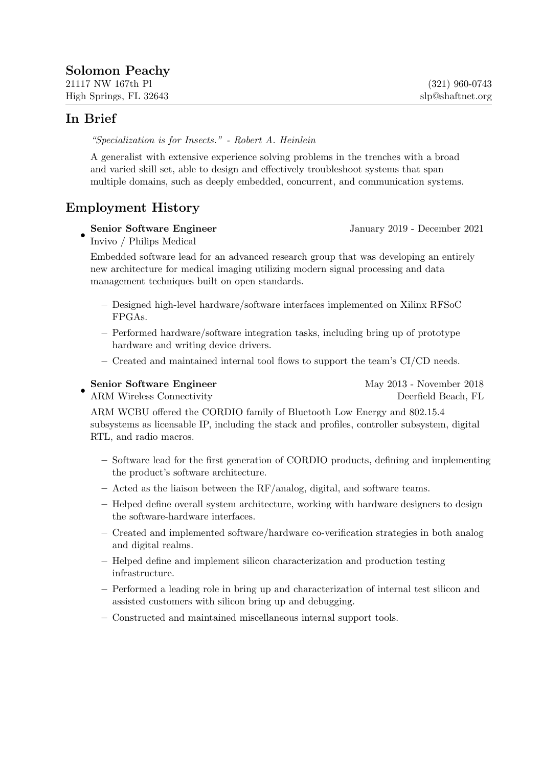*"Specialization is for Insects." - Robert A. Heinlein*

A generalist with extensive experience solving problems in the trenches with a broad and varied skill set, able to design and effectively troubleshoot systems that span multiple domains, such as deeply embedded, concurrent, and communication systems.

# Employment History

•

Senior Software Engineer January 2019 - December 2021

Invivo / Philips Medical

Embedded software lead for an advanced research group that was developing an entirely new architecture for medical imaging utilizing modern signal processing and data management techniques built on open standards.

- Designed high-level hardware/software interfaces implemented on Xilinx RFSoC FPGAs.
- Performed hardware/software integration tasks, including bring up of prototype hardware and writing device drivers.
- Created and maintained internal tool flows to support the team's CI/CD needs.

## • Senior Software Engineer May 2013 - November 2018

ARM Wireless Connectivity **Deerfield Beach, FL** 

ARM WCBU offered the CORDIO family of Bluetooth Low Energy and 802.15.4 subsystems as licensable IP, including the stack and profiles, controller subsystem, digital RTL, and radio macros.

- Software lead for the first generation of CORDIO products, defining and implementing the product's software architecture.
- Acted as the liaison between the RF/analog, digital, and software teams.
- Helped define overall system architecture, working with hardware designers to design the software-hardware interfaces.
- Created and implemented software/hardware co-verification strategies in both analog and digital realms.
- Helped define and implement silicon characterization and production testing infrastructure.
- Performed a leading role in bring up and characterization of internal test silicon and assisted customers with silicon bring up and debugging.
- Constructed and maintained miscellaneous internal support tools.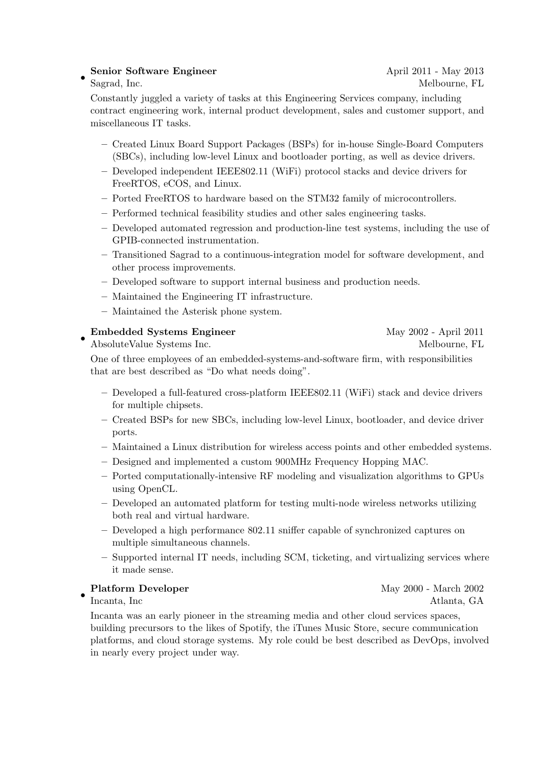### • Senior Software Engineer April 2011 - May 2013

Constantly juggled a variety of tasks at this Engineering Services company, including contract engineering work, internal product development, sales and customer support, and miscellaneous IT tasks.

- Created Linux Board Support Packages (BSPs) for in-house Single-Board Computers (SBCs), including low-level Linux and bootloader porting, as well as device drivers.
- Developed independent IEEE802.11 (WiFi) protocol stacks and device drivers for FreeRTOS, eCOS, and Linux.
- Ported FreeRTOS to hardware based on the STM32 family of microcontrollers.
- Performed technical feasibility studies and other sales engineering tasks.
- Developed automated regression and production-line test systems, including the use of GPIB-connected instrumentation.
- Transitioned Sagrad to a continuous-integration model for software development, and other process improvements.
- Developed software to support internal business and production needs.
- Maintained the Engineering IT infrastructure.
- Maintained the Asterisk phone system.

## Embedded Systems Engineer May 2002 - April 2011

• AbsoluteValue Systems Inc. Melbourne, FL

One of three employees of an embedded-systems-and-software firm, with responsibilities that are best described as "Do what needs doing".

- Developed a full-featured cross-platform IEEE802.11 (WiFi) stack and device drivers for multiple chipsets.
- Created BSPs for new SBCs, including low-level Linux, bootloader, and device driver ports.
- Maintained a Linux distribution for wireless access points and other embedded systems.
- Designed and implemented a custom 900MHz Frequency Hopping MAC.
- Ported computationally-intensive RF modeling and visualization algorithms to GPUs using OpenCL.
- Developed an automated platform for testing multi-node wireless networks utilizing both real and virtual hardware.
- Developed a high performance 802.11 sniffer capable of synchronized captures on multiple simultaneous channels.
- Supported internal IT needs, including SCM, ticketing, and virtualizing services where it made sense.

•

Incanta was an early pioneer in the streaming media and other cloud services spaces, building precursors to the likes of Spotify, the iTunes Music Store, secure communication platforms, and cloud storage systems. My role could be best described as DevOps, involved in nearly every project under way.

Platform Developer May 2000 - March 2002 Incanta, Inc

# Sagrad, Inc. Melbourne, FL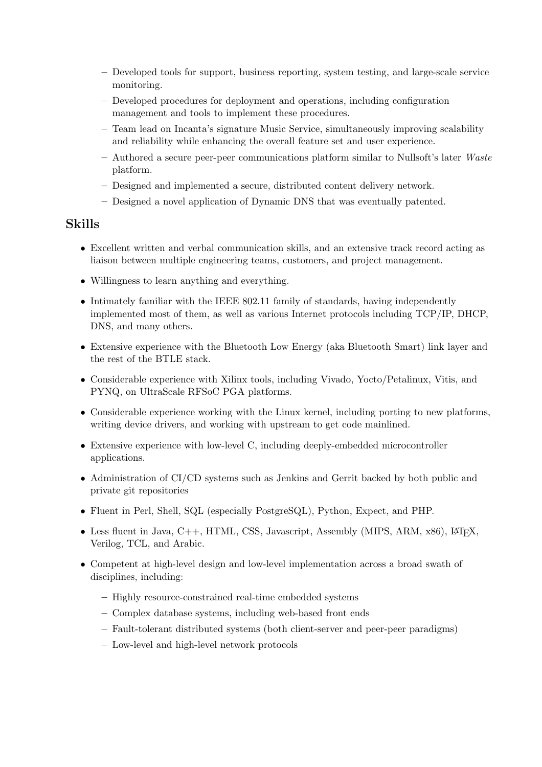- Developed tools for support, business reporting, system testing, and large-scale service monitoring.
- Developed procedures for deployment and operations, including configuration management and tools to implement these procedures.
- Team lead on Incanta's signature Music Service, simultaneously improving scalability and reliability while enhancing the overall feature set and user experience.
- Authored a secure peer-peer communications platform similar to Nullsoft's later *Waste* platform.
- Designed and implemented a secure, distributed content delivery network.
- Designed a novel application of Dynamic DNS that was eventually patented.

# Skills

- Excellent written and verbal communication skills, and an extensive track record acting as liaison between multiple engineering teams, customers, and project management.
- Willingness to learn anything and everything.
- Intimately familiar with the IEEE 802.11 family of standards, having independently implemented most of them, as well as various Internet protocols including TCP/IP, DHCP, DNS, and many others.
- Extensive experience with the Bluetooth Low Energy (aka Bluetooth Smart) link layer and the rest of the BTLE stack.
- Considerable experience with Xilinx tools, including Vivado, Yocto/Petalinux, Vitis, and PYNQ, on UltraScale RFSoC PGA platforms.
- Considerable experience working with the Linux kernel, including porting to new platforms, writing device drivers, and working with upstream to get code mainlined.
- Extensive experience with low-level C, including deeply-embedded microcontroller applications.
- Administration of CI/CD systems such as Jenkins and Gerrit backed by both public and private git repositories
- Fluent in Perl, Shell, SQL (especially PostgreSQL), Python, Expect, and PHP.
- Less fluent in Java,  $C++$ , HTML, CSS, Javascript, Assembly (MIPS, ARM, x86), L<sup>AT</sup>FX, Verilog, TCL, and Arabic.
- Competent at high-level design and low-level implementation across a broad swath of disciplines, including:
	- Highly resource-constrained real-time embedded systems
	- Complex database systems, including web-based front ends
	- Fault-tolerant distributed systems (both client-server and peer-peer paradigms)
	- Low-level and high-level network protocols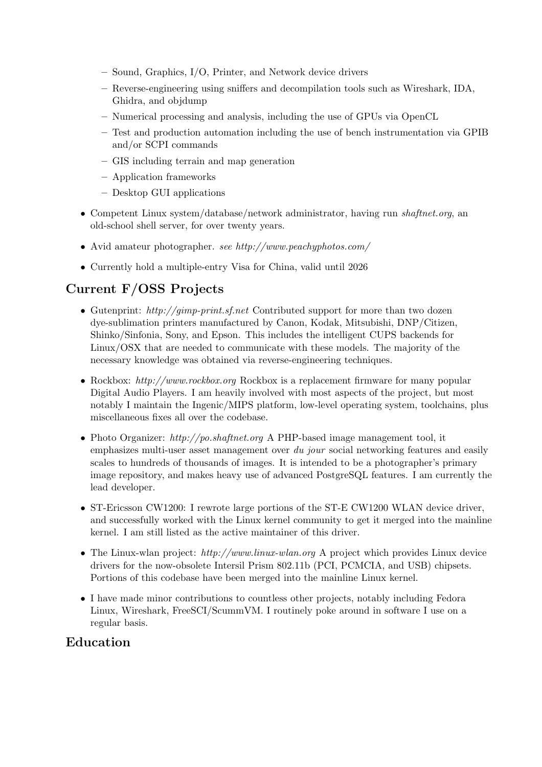- Sound, Graphics, I/O, Printer, and Network device drivers
- Reverse-engineering using sniffers and decompilation tools such as Wireshark, IDA, Ghidra, and objdump
- Numerical processing and analysis, including the use of GPUs via OpenCL
- Test and production automation including the use of bench instrumentation via GPIB and/or SCPI commands
- GIS including terrain and map generation
- Application frameworks
- Desktop GUI applications
- Competent Linux system/database/network administrator, having run *shaftnet.org*, an old-school shell server, for over twenty years.
- Avid amateur photographer. *see http://www.peachyphotos.com/*
- Currently hold a multiple-entry Visa for China, valid until 2026

# Current F/OSS Projects

- Gutenprint: *http://gimp-print.sf.net* Contributed support for more than two dozen dye-sublimation printers manufactured by Canon, Kodak, Mitsubishi, DNP/Citizen, Shinko/Sinfonia, Sony, and Epson. This includes the intelligent CUPS backends for Linux/OSX that are needed to communicate with these models. The majority of the necessary knowledge was obtained via reverse-engineering techniques.
- Rockbox: *http://www.rockbox.org* Rockbox is a replacement firmware for many popular Digital Audio Players. I am heavily involved with most aspects of the project, but most notably I maintain the Ingenic/MIPS platform, low-level operating system, toolchains, plus miscellaneous fixes all over the codebase.
- Photo Organizer: *http://po.shaftnet.org* A PHP-based image management tool, it emphasizes multi-user asset management over *du jour* social networking features and easily scales to hundreds of thousands of images. It is intended to be a photographer's primary image repository, and makes heavy use of advanced PostgreSQL features. I am currently the lead developer.
- ST-Ericsson CW1200: I rewrote large portions of the ST-E CW1200 WLAN device driver, and successfully worked with the Linux kernel community to get it merged into the mainline kernel. I am still listed as the active maintainer of this driver.
- The Linux-wlan project: *http://www.linux-wlan.org* A project which provides Linux device drivers for the now-obsolete Intersil Prism 802.11b (PCI, PCMCIA, and USB) chipsets. Portions of this codebase have been merged into the mainline Linux kernel.
- I have made minor contributions to countless other projects, notably including Fedora Linux, Wireshark, FreeSCI/ScummVM. I routinely poke around in software I use on a regular basis.

# Education